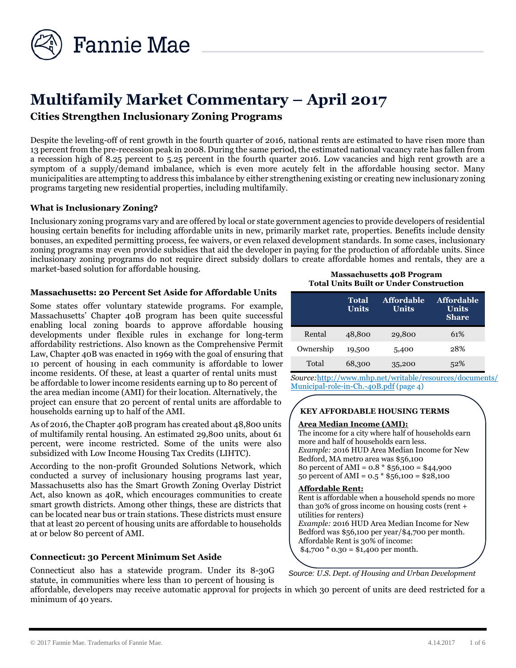

# **Multifamily Market Commentary – April 2017 Cities Strengthen Inclusionary Zoning Programs**

Despite the leveling-off of rent growth in the fourth quarter of 2016, national rents are estimated to have risen more than 13 percent from the pre-recession peak in 2008. During the same period, the estimated national vacancy rate has fallen from a recession high of 8.25 percent to 5.25 percent in the fourth quarter 2016. Low vacancies and high rent growth are a symptom of a supply/demand imbalance, which is even more acutely felt in the affordable housing sector. Many municipalities are attempting to address this imbalance by either strengthening existing or creating new inclusionary zoning programs targeting new residential properties, including multifamily.

# **What is Inclusionary Zoning?**

Inclusionary zoning programs vary and are offered by local or state government agencies to provide developers of residential housing certain benefits for including affordable units in new, primarily market rate, properties. Benefits include density bonuses, an expedited permitting process, fee waivers, or even relaxed development standards. In some cases, inclusionary zoning programs may even provide subsidies that aid the developer in paying for the production of affordable units. Since inclusionary zoning programs do not require direct subsidy dollars to create affordable homes and rentals, they are a market-based solution for affordable housing.

#### **Massachusetts: 20 Percent Set Aside for Affordable Units**

Some states offer voluntary statewide programs. For example, Massachusetts' Chapter 40B program has been quite successful enabling local zoning boards to approve affordable housing developments under flexible rules in exchange for long-term affordability restrictions. Also known as the Comprehensive Permit Law, Chapter 40B was enacted in 1969 with the goal of ensuring that 10 percent of housing in each community is affordable to lower income residents. Of these, at least a quarter of rental units must be affordable to lower income residents earning up to 80 percent of the area median income (AMI) for their location. Alternatively, the project can ensure that 20 percent of rental units are affordable to households earning up to half of the AMI.

As of 2016, the Chapter 40B program has created about 48,800 units of multifamily rental housing. An estimated 29,800 units, about 61 percent, were income restricted. Some of the units were also subsidized with Low Income Housing Tax Credits (LIHTC).

According to the non-profit Grounded Solutions Network, which conducted a survey of inclusionary housing programs last year, Massachusetts also has the Smart Growth Zoning Overlay District Act, also known as 40R, which encourages communities to create smart growth districts. Among other things, these are districts that can be located near bus or train stations. These districts must ensure that at least 20 percent of housing units are affordable to households at or below 80 percent of AMI.

# **Connecticut: 30 Percent Minimum Set Aside**

Connecticut also has a statewide program. Under its 8-30G statute, in communities where less than 10 percent of housing is

**Massachusetts 40B Program Total Units Built or Under Construction** 

|           | Total<br><b>Units</b> | <b>Affordable</b><br><b>Units</b> | <b>Affordable</b><br>Units<br><b>Share</b> |
|-----------|-----------------------|-----------------------------------|--------------------------------------------|
| Rental    | 48,800                | 29,800                            | 61%                                        |
| Ownership | 19,500                | 5,400                             | 28%                                        |
| Total     | 68,300                | 35,200                            | 52%                                        |

*Source:*[http://www.mhp.net/writable/resources/documents/](http) [Municipal-role-in-Ch.-40B.pdf](http://www.mhp.net/writable/resources/documents/Municipal-role-in-Ch.-40B.pdf) (page 4)

# **KEY AFFORDABLE HOUSING TERMS**

#### **Area Median Income (AMI):**

The income for a city where half of households earn more and half of households earn less. *Example:* 2016 HUD Area Median Income for New Bedford, MA metro area was \$56,100 80 percent of AMI = 0.8 \* \$56,100 = \$44,900 50 percent of AMI =  $0.5 * $56,100 = $28,100$ 

#### **Affordable Rent:**

Rent is affordable when a household spends no more than 30% of gross income on housing costs (rent + utilities for renters)

*Example:* 2016 HUD Area Median Income for New Bedford was \$56,100 per year/\$4,700 per month. Affordable Rent is 30% of income:  $$4,700 * 0.30 = $1,400$  per month.

*Source: U.S. Dept. of Housing and Urban Development*

affordable, developers may receive automatic approval for projects in which 30 percent of units are deed restricted for a minimum of 40 years.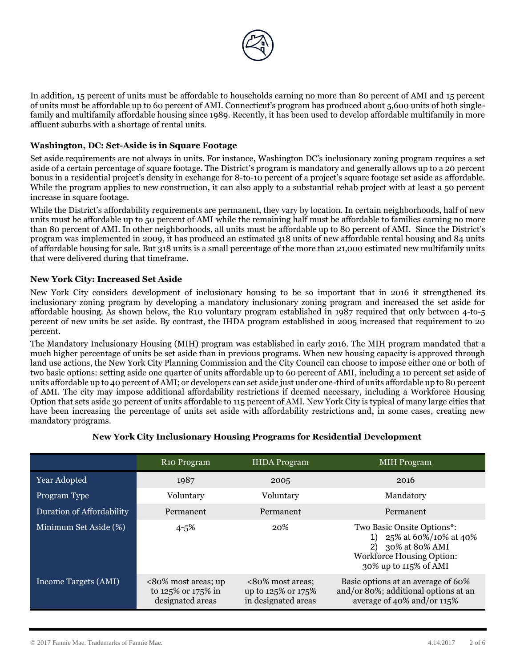

In addition, 15 percent of units must be affordable to households earning no more than 80 percent of AMI and 15 percent of units must be affordable up to 60 percent of AMI. Connecticut's program has produced about 5,600 units of both singlefamily and multifamily affordable housing since 1989. Recently, it has been used to develop affordable multifamily in more affluent suburbs with a shortage of rental units.

# **Washington, DC: Set-Aside is in Square Footage**

Set aside requirements are not always in units. For instance, Washington DC's inclusionary zoning program requires a set aside of a certain percentage of square footage. The District's program is mandatory and generally allows up to a 20 percent bonus in a residential project's density in exchange for 8-to-10 percent of a project's square footage set aside as affordable. While the program applies to new construction, it can also apply to a substantial rehab project with at least a 50 percent increase in square footage.

While the District's affordability requirements are permanent, they vary by location. In certain neighborhoods, half of new units must be affordable up to 50 percent of AMI while the remaining half must be affordable to families earning no more than 80 percent of AMI. In other neighborhoods, all units must be affordable up to 80 percent of AMI. Since the District's program was implemented in 2009, it has produced an estimated 318 units of new affordable rental housing and 84 units of affordable housing for sale. But 318 units is a small percentage of the more than 21,000 estimated new multifamily units that were delivered during that timeframe.

#### **New York City: Increased Set Aside**

New York City considers development of inclusionary housing to be so important that in 2016 it strengthened its inclusionary zoning program by developing a mandatory inclusionary zoning program and increased the set aside for affordable housing. As shown below, the R10 voluntary program established in 1987 required that only between 4-to-5 percent of new units be set aside. By contrast, the IHDA program established in 2005 increased that requirement to 20 percent.

The Mandatory Inclusionary Housing (MIH) program was established in early 2016. The MIH program mandated that a much higher percentage of units be set aside than in previous programs. When new housing capacity is approved through land use actions, the New York City Planning Commission and the City Council can choose to impose either one or both of two basic options: setting aside one quarter of units affordable up to 60 percent of AMI, including a 10 percent set aside of units affordable up to 40 percent of AMI; or developers can set aside just under one-third of units affordable up to 80 percent of AMI. The city may impose additional affordability restrictions if deemed necessary, including a Workforce Housing Option that sets aside 30 percent of units affordable to 115 percent of AMI. New York City is typical of many large cities that have been increasing the percentage of units set aside with affordability restrictions and, in some cases, creating new mandatory programs.

|                           | R <sub>10</sub> Program                                       | <b>IHDA</b> Program                                           | <b>MIH</b> Program                                                                                                                       |
|---------------------------|---------------------------------------------------------------|---------------------------------------------------------------|------------------------------------------------------------------------------------------------------------------------------------------|
| Year Adopted              | 1987                                                          | 2005                                                          | 2016                                                                                                                                     |
| Program Type              | Voluntary                                                     | Voluntary                                                     | Mandatory                                                                                                                                |
| Duration of Affordability | Permanent                                                     | Permanent                                                     | Permanent                                                                                                                                |
| Minimum Set Aside (%)     | $4 - 5\%$                                                     | 20%                                                           | Two Basic Onsite Options*:<br>25% at 60%/10% at 40%<br>30% at 80% AMI<br>2)<br><b>Workforce Housing Option:</b><br>30% up to 115% of AMI |
| Income Targets (AMI)      | <80% most areas; up<br>to 125% or 175% in<br>designated areas | <80% most areas:<br>up to 125% or 175%<br>in designated areas | Basic options at an average of 60%<br>and/or 80%; additional options at an<br>average of 40% and/or 115%                                 |

#### **New York City Inclusionary Housing Programs for Residential Development**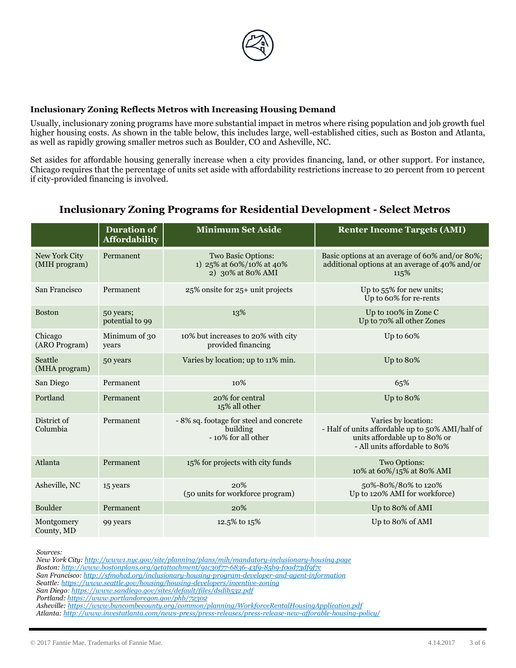

# **Inclusionary Zoning Reflects Metros with Increasing Housing Demand**

Usually, inclusionary zoning programs have more substantial impact in metros where rising population and job growth fuel higher housing costs. As shown in the table below, this includes large, well-established cities, such as Boston and Atlanta, as well as rapidly growing smaller metros such as Boulder, CO and Asheville, NC.

Set asides for affordable housing generally increase when a city provides financing, land, or other support. For instance, Chicago requires that the percentage of units set aside with affordability restrictions increase to 20 percent from 10 percent if city-provided financing is involved.

# **Inclusionary Zoning Programs for Residential Development - Select Metros**

|                                | <b>Duration of</b><br><b>Affordability</b> | <b>Minimum Set Aside</b>                                                   | <b>Renter Income Targets (AMI)</b>                                                                                                        |  |
|--------------------------------|--------------------------------------------|----------------------------------------------------------------------------|-------------------------------------------------------------------------------------------------------------------------------------------|--|
| New York City<br>(MIH program) | Permanent                                  | Two Basic Options:<br>1) 25% at 60%/10% at 40%<br>2) 30% at 80% AMI        | Basic options at an average of 60% and/or 80%;<br>additional options at an average of 40% and/or<br>115%                                  |  |
| San Francisco                  | Permanent                                  | 25% onsite for 25+ unit projects                                           | Up to $55\%$ for new units;<br>Up to 60% for re-rents                                                                                     |  |
| <b>Boston</b>                  | 50 years;<br>potential to 99               | 13%                                                                        | Up to 100% in Zone C<br>Up to 70% all other Zones                                                                                         |  |
| Chicago<br>(ARO Program)       | Minimum of 30<br>years                     | 10% but increases to 20% with city<br>provided financing                   | Up to 60%                                                                                                                                 |  |
| Seattle<br>(MHA program)       | 50 years                                   | Varies by location; up to 11% min.                                         | Up to 80%                                                                                                                                 |  |
| San Diego                      | Permanent                                  | 10%                                                                        | 65%                                                                                                                                       |  |
| Portland                       | Permanent                                  | 20% for central<br>15% all other                                           | Up to 80%                                                                                                                                 |  |
| District of<br>Columbia        | Permanent                                  | - 8% sq. footage for steel and concrete<br>building<br>- 10% for all other | Varies by location:<br>- Half of units affordable up to 50% AMI/half of<br>units affordable up to 80% or<br>- All units affordable to 80% |  |
| Atlanta                        | Permanent                                  | 15% for projects with city funds                                           | Two Options:<br>10% at 60%/15% at 80% AMI                                                                                                 |  |
| Asheville, NC                  | 15 years                                   | 20%<br>(50 units for workforce program)                                    | 50%-80%/80% to 120%<br>Up to 120% AMI for workforce)                                                                                      |  |
| <b>Boulder</b>                 | Permanent                                  | 20%                                                                        | Up to 80% of AMI                                                                                                                          |  |
| Montgomery<br>County, MD       | 99 years                                   | 12.5% to 15%                                                               | Up to 80% of AMI                                                                                                                          |  |

*Sources:* 

*New York City[: http://www1.nyc.gov/site/planning/plans/mih/mandatory-inclusionary-housing.page](http://www1.nyc.gov/site/planning/plans/mih/mandatory-inclusionary-housing.page)*

*Boston[: http://www.bostonplans.org/getattachment/91c30f77-6836-43f9-85b9-f0ad73df9f7c](http://www.bostonplans.org/getattachment/91c30f77-6836-43f9-85b9-f0ad73df9f7c)*

*San Francisco[: http://sfmohcd.org/inclusionary-housing-program-developer-and-agent-information](http://sfmohcd.org/inclusionary-housing-program-developer-and-agent-information)*

*Seattle[: https://www.seattle.gov/housing/housing-developers/incentive-zoning](https://www.seattle.gov/housing/housing-developers/incentive-zoning)*

*San Diego[: https://www.sandiego.gov/sites/default/files/dsdib532.pdf](https://www.sandiego.gov/sites/default/files/dsdib532.pdf)*

*Portland[: https://www.portlandoregon.gov/phb/72302](https://www.portlandoregon.gov/phb/72302)*

*Asheville[: https://www.buncombecounty.org/common/planning/WorkforceRentalHousingApplication.pdf](https://www.buncombecounty.org/common/planning/WorkforceRentalHousingApplication.pdf)*

*Atlanta[: http://www.investatlanta.com/news-press/press-releases/press-release-new-afforable-housing-policy/](http://www.investatlanta.com/news-press/press-releases/press-release-new-afforable-housing-policy/)*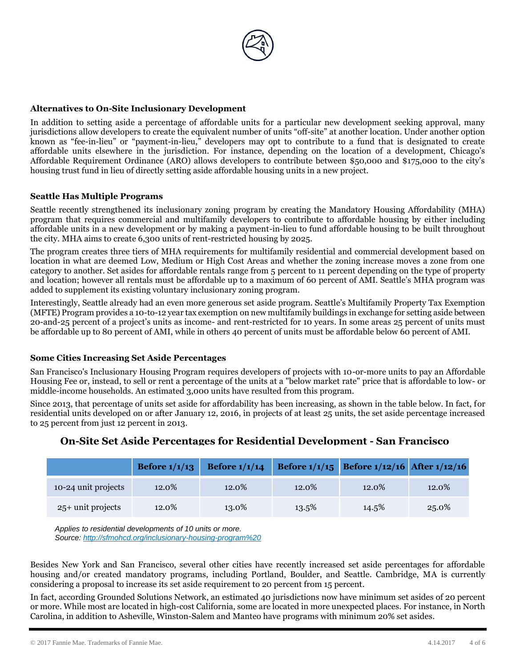

# **Alternatives to On-Site Inclusionary Development**

In addition to setting aside a percentage of affordable units for a particular new development seeking approval, many jurisdictions allow developers to create the equivalent number of units "off-site" at another location. Under another option known as "fee-in-lieu" or "payment-in-lieu," developers may opt to contribute to a fund that is designated to create affordable units elsewhere in the jurisdiction. For instance, depending on the location of a development, Chicago's Affordable Requirement Ordinance (ARO) allows developers to contribute between \$50,000 and \$175,000 to the city's housing trust fund in lieu of directly setting aside affordable housing units in a new project.

#### **Seattle Has Multiple Programs**

Seattle recently strengthened its inclusionary zoning program by creating the Mandatory Housing Affordability (MHA) program that requires commercial and multifamily developers to contribute to affordable housing by either including affordable units in a new development or by making a payment-in-lieu to fund affordable housing to be built throughout the city. MHA aims to create 6,300 units of rent-restricted housing by 2025.

The program creates three tiers of MHA requirements for multifamily residential and commercial development based on location in what are deemed Low, Medium or High Cost Areas and whether the zoning increase moves a zone from one category to another. Set asides for affordable rentals range from 5 percent to 11 percent depending on the type of property and location; however all rentals must be affordable up to a maximum of 60 percent of AMI. Seattle's MHA program was added to supplement its existing voluntary inclusionary zoning program.

Interestingly, Seattle already had an even more generous set aside program. Seattle's Multifamily Property Tax Exemption (MFTE) Program provides a 10-to-12 year tax exemption on new multifamily buildings in exchange for setting aside between 20-and-25 percent of a project's units as income- and rent-restricted for 10 years. In some areas 25 percent of units must be affordable up to 80 percent of AMI, while in others 40 percent of units must be affordable below 60 percent of AMI.

#### **Some Cities Increasing Set Aside Percentages**

San Francisco's Inclusionary Housing Program requires developers of projects with 10-or-more units to pay an Affordable Housing Fee or, instead, to sell or rent a percentage of the units at a "below market rate" price that is affordable to low- or middle-income households. An estimated 3,000 units have resulted from this program.

Since 2013, that percentage of units set aside for affordability has been increasing, as shown in the table below. In fact, for residential units developed on or after January 12, 2016, in projects of at least 25 units, the set aside percentage increased to 25 percent from just 12 percent in 2013.

|                     | Before $1/1/13$ | Before $1/1/14$ |       | Before 1/1/15 Before 1/12/16 After 1/12/16 |       |
|---------------------|-----------------|-----------------|-------|--------------------------------------------|-------|
| 10-24 unit projects | 12.0%           | 12.0%           | 12.0% | 12.0%                                      | 12.0% |
| $25+$ unit projects | 12.0%           | 13.0%           | 13.5% | 14.5%                                      | 25.0% |

# **On-Site Set Aside Percentages for Residential Development - San Francisco**

*Applies to residential developments of 10 units or more. Source[: http://sfmohcd.org/inclusionary-housing-program%20](http://sfmohcd.org/inclusionary-housing-program)*

Besides New York and San Francisco, several other cities have recently increased set aside percentages for affordable housing and/or created mandatory programs, including Portland, Boulder, and Seattle. Cambridge, MA is currently considering a proposal to increase its set aside requirement to 20 percent from 15 percent.

In fact, according Grounded Solutions Network, an estimated 40 jurisdictions now have minimum set asides of 20 percent or more. While most are located in high-cost California, some are located in more unexpected places. For instance, in North Carolina, in addition to Asheville, Winston-Salem and Manteo have programs with minimum 20% set asides.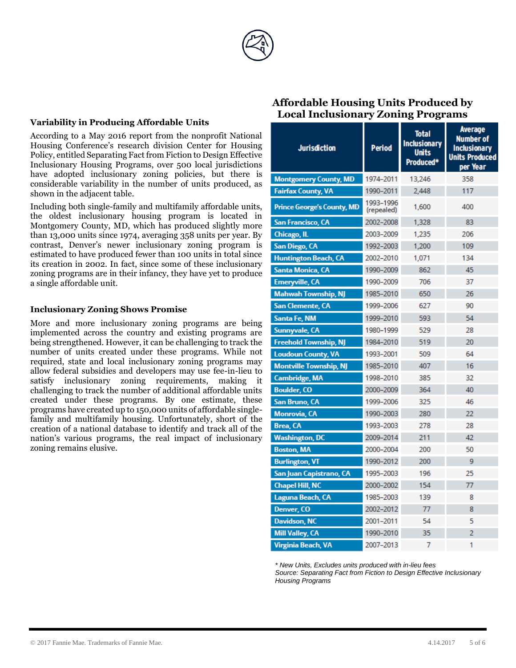

#### **Variability in Producing Affordable Units**

According to a May 2016 report from the nonprofit National Housing Conference's research division Center for Housing Policy, entitled Separating Fact from Fiction to Design Effective Inclusionary Housing Programs, over 500 local jurisdictions have adopted inclusionary zoning policies, but there is considerable variability in the number of units produced, as shown in the adjacent table.

Including both single-family and multifamily affordable units, the oldest inclusionary housing program is located in Montgomery County, MD, which has produced slightly more than 13,000 units since 1974, averaging 358 units per year. By contrast, Denver's newer inclusionary zoning program is estimated to have produced fewer than 100 units in total since its creation in 2002. In fact, since some of these inclusionary zoning programs are in their infancy, they have yet to produce a single affordable unit.

#### **Inclusionary Zoning Shows Promise**

More and more inclusionary zoning programs are being implemented across the country and existing programs are being strengthened. However, it can be challenging to track the number of units created under these programs. While not required, state and local inclusionary zoning programs may allow federal subsidies and developers may use fee-in-lieu to satisfy inclusionary zoning requirements, making it challenging to track the number of additional affordable units created under these programs. By one estimate, these programs have created up to 150,000 units of affordable singlefamily and multifamily housing. Unfortunately, short of the creation of a national database to identify and track all of the nation's various programs, the real impact of inclusionary zoning remains elusive.

#### **Average Total Number of Inclusionary Inclusionary Jurisdiction Period Units Units Produced** Produced\* per Year **Montgomery County, MD** 1974-2011 13 24 6 358 **Fairfax County, VA** 1990-2011 117 2,448 1993-1996 **Prince George's County, MD** 1,600 400 (repealed) **San Francisco, CA** 83 2002-2008 1,328 **Chicago, IL** 2003-2009 1.235 206 San Diego, CA 1992-2003 1,200 109 **Huntington Beach, CA** 2002-2010 1,071 134 **Santa Monica, CA** 1990-2009 862 45 **Emeryville, CA** 1990-2009 37 706 **Mahwah Township, NJ** 1985-2010 650 26 **San Clemente, CA** 627 90 1999-2006 Santa Fe, NM 54 1999-2010 593 Sunnyvale, CA 1980-1999 529 28 **Freehold Township, NJ** 519 20 1984-2010 **Loudoun County, VA** 1993-2001 509 64 **Montville Township, NJ** 1985-2010 407 16 **Cambridge, MA** 385 32 1998-2010 **Boulder, CO** 2000-2009 40 364 **San Bruno, CA** 1999-2006 325 46 **Monrovia, CA** 280 22 1990-2003 **Brea, CA** 1993-2003 278 28 **Washington, DC** 2009-2014 211 42 **Boston, MA** 50 2000-2004 200 **Burlington, VT** 1990-2012 200 9 San Juan Capistrano, CA 1995-2003 25 196 **Chapel Hill, NC** 2000-2002 154 77 Laguna Beach, CA 1985-2003 8 139 Denver, CO 2002-2012 77  $\overline{8}$ **Davidson, NC** 5 2001-2011 54 **Mill Valley, CA** 1990-2010 35  $\overline{2}$ 2007-2013 **Virginia Beach, VA** 7

*\* New Units, Excludes units produced with in-lieu fees*

*Source: Separating Fact from Fiction to Design Effective Inclusionary Housing Programs*

# **Affordable Housing Units Produced by Local Inclusionary Zoning Programs**